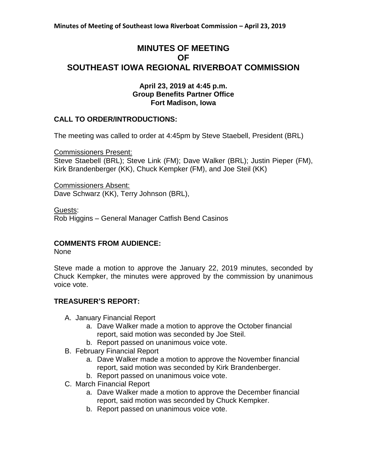# **MINUTES OF MEETING OF SOUTHEAST IOWA REGIONAL RIVERBOAT COMMISSION**

### **April 23, 2019 at 4:45 p.m. Group Benefits Partner Office Fort Madison, Iowa**

### **CALL TO ORDER/INTRODUCTIONS:**

The meeting was called to order at 4:45pm by Steve Staebell, President (BRL)

Commissioners Present:

Steve Staebell (BRL); Steve Link (FM); Dave Walker (BRL); Justin Pieper (FM), Kirk Brandenberger (KK), Chuck Kempker (FM), and Joe Steil (KK)

Commissioners Absent: Dave Schwarz (KK), Terry Johnson (BRL),

Guests:

Rob Higgins – General Manager Catfish Bend Casinos

# **COMMENTS FROM AUDIENCE:**

None

Steve made a motion to approve the January 22, 2019 minutes, seconded by Chuck Kempker, the minutes were approved by the commission by unanimous voice vote.

# **TREASURER'S REPORT:**

- A. January Financial Report
	- a. Dave Walker made a motion to approve the October financial report, said motion was seconded by Joe Steil.
	- b. Report passed on unanimous voice vote.
- B. February Financial Report
	- a. Dave Walker made a motion to approve the November financial report, said motion was seconded by Kirk Brandenberger.
	- b. Report passed on unanimous voice vote.
- C. March Financial Report
	- a. Dave Walker made a motion to approve the December financial report, said motion was seconded by Chuck Kempker.
	- b. Report passed on unanimous voice vote.